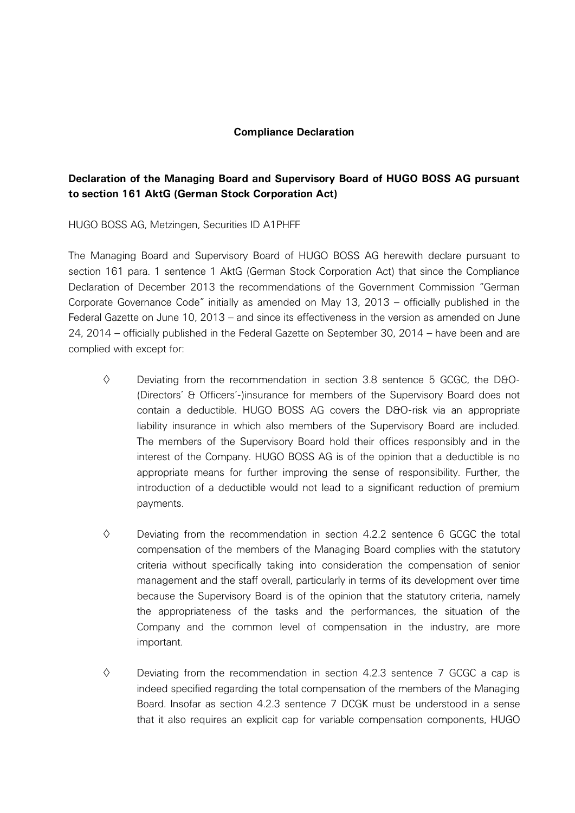## **Compliance Declaration**

## **Declaration of the Managing Board and Supervisory Board of HUGO BOSS AG pursuant to section 161 AktG (German Stock Corporation Act)**

HUGO BOSS AG, Metzingen, Securities ID A1PHFF

The Managing Board and Supervisory Board of HUGO BOSS AG herewith declare pursuant to section 161 para. 1 sentence 1 AktG (German Stock Corporation Act) that since the Compliance Declaration of December 2013 the recommendations of the Government Commission "German Corporate Governance Code" initially as amended on May 13, 2013 – officially published in the Federal Gazette on June 10, 2013 – and since its effectiveness in the version as amended on June 24, 2014 – officially published in the Federal Gazette on September 30, 2014 – have been and are complied with except for:

- $\diamond$  Deviating from the recommendation in section 3.8 sentence 5 GCGC, the D&O-(Directors' & Officers'-)insurance for members of the Supervisory Board does not contain a deductible. HUGO BOSS AG covers the D&O-risk via an appropriate liability insurance in which also members of the Supervisory Board are included. The members of the Supervisory Board hold their offices responsibly and in the interest of the Company. HUGO BOSS AG is of the opinion that a deductible is no appropriate means for further improving the sense of responsibility. Further, the introduction of a deductible would not lead to a significant reduction of premium payments.
- $\diamond$  Deviating from the recommendation in section 4.2.2 sentence 6 GCGC the total compensation of the members of the Managing Board complies with the statutory criteria without specifically taking into consideration the compensation of senior management and the staff overall, particularly in terms of its development over time because the Supervisory Board is of the opinion that the statutory criteria, namely the appropriateness of the tasks and the performances, the situation of the Company and the common level of compensation in the industry, are more important.
- $\diamond$  Deviating from the recommendation in section 4.2.3 sentence 7 GCGC a cap is indeed specified regarding the total compensation of the members of the Managing Board. Insofar as section 4.2.3 sentence 7 DCGK must be understood in a sense that it also requires an explicit cap for variable compensation components, HUGO